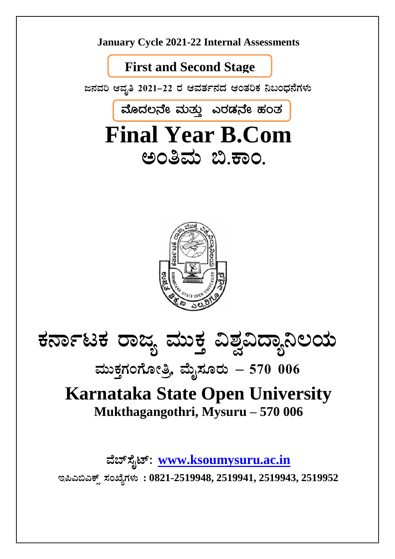

ಮೊದಲನೇ ಮತ್ತು ಎರಡನೇ ಹಂತ **Final Year B.Com** ಅಂತಿಮ ಬಿ.ಕಾಂ.



# ಕರ್ನಾಟಕ ರಾಜ್ಯ ಮುಕ್ತ ವಿಶ್ವವಿದ್ಯಾನಿಲಯ

ಮುಕ್ತಗಂಗೋತ್ರಿ, ಮೈಸೂರು – 570 006

# **Karnataka State Open University** Mukthagangothri, Mysuru – 570 006

ವೆಬ್ಸೈಟ್: www.ksoumysuru.ac.in

ಇಪಿಎಬಿಎಕ್ಸ್ ಸಂಖ್ಯೆಗಳು: 0821-2519948, 2519941, 2519943, 2519952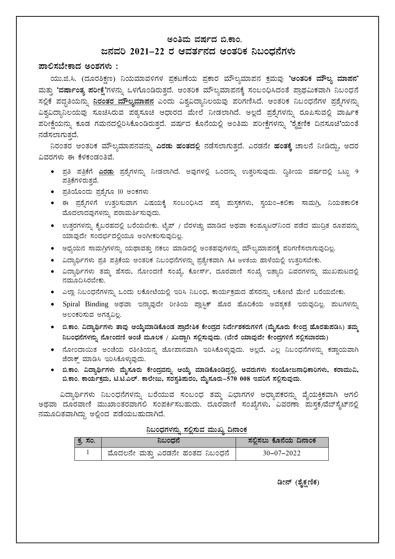#### ಅಂತಿಮ ವರ್ಷದ ಬಿ.ಕಾಂ.

#### ಜನವರಿ 2021–22 ರ ಆವರ್ತನದ ಆಂತರಿಕ ನಿಬಂಧನೆಗಳು

#### ಪಾಲಿಸಬೇಕಾದ ಅಂಶಗಳು :

ಯು.ಜಿ.ಸಿ. (ದೂರಶಿಕ್ಷಣ) ನಿಯಮಾವಳಿಗಳ ಪ್ರಕಟಣೆಯ ಪ್ರಕಾರ ಮೌಲ್ಯಮಾಪನ ಕ್ರಮವು 'ಆಂತರಿಕ ಮೌಲ್ಯ ಮಾಪನ' ಮತ್ತು 'ವರ್ಷಾಂತ್ಯ ಪರೀಕ್ಷೆ'ಗಳನ್ನು ಒಳಗೊಂಡಿರುತ್ತದೆ. ಆಂತರಿಕ ಮೌಲ್ಯಮಾಪನಕ್ಕೆ ಸಂಬಂಧಿಸಿದಂತೆ ಪ್ರಾಥಮಿಕವಾಗಿ ನಿಬಂಧನೆ ಸಲ್ಲಿಕೆ ಪದ್ದತಿಯನ್ನು <mark>ನಿರಂತರ ಮೌಲ್ಯಮಾಪನ</mark> ಎಂದು ವಿಶ್ವವಿದ್ಯಾನಿಲಯವು ಪರಿಗಣಿಸಿದೆ. ಆಂತರಿಕ ನಿಬಂಧನೆಗಳ ಪ್ರಶ್ನೆಗಳನ್ನು ವಿಶ್ವವಿದ್ಯಾನಿಲಯವು ಸೂಚಿಸಿರುವ ಪಠ್ಯಸೂಚಿ ಆಧಾರದ ಮೇಲೆ ನೀಡಲಾಗಿದೆ. ಅಲ್ಲದೆ ಪ್ರಶ್ನೆಗಳನ್ನು ರೂಪಿಸುವಲ್ಲಿ ವಾರ್ಷಿಕ ಪರೀಕ್ಷೆಯನ್ನು ಕೂಡ ಗಮನದಲ್ಲಿರಿಸಿಕೊಂಡಿರುತ್ತದೆ. ವರ್ಷದ ಕೊನೆಯಲ್ಲಿ ಅಂತಿಮ ಪರೀಕ್ಷೆಗಳನ್ನು 'ಶೈಕ್ಷಣಿಕ ದಿನಸೂಚಿ'ಯಂತೆ ನಡೆಸಲಾಗುತದೆ.

ನಿರಂತರ ಆಂತರಿಕ ಮೌಲ್ಯಮಾಪನವನ್ನು **ಎರಡು ಹಂತದಲ್ಲಿ** ನಡೆಸಲಾಗುತ್ತದೆ. ಎರಡನೇ **ಹಂತಕ್ಕೆ** ಚಾಲನೆ ನೀಡಿದ್ದು, ಅದರ ವಿವರಗಳು ಈ ಕೆಳಕಂಡಂತಿವೆ.

- ಪ್ರತಿ ಪತ್ರಿಕೆಗೆ <u>ಎರಡು</u> ಪ್ರಶ್ನೆಗಳನ್ನು ನೀಡಲಾಗಿದೆ. ಅವುಗಳಲ್ಲಿ ಒಂದನ್ನು ಉತ್ತರಿಸುವುದು. ದ್ವಿತೀಯ ವರ್ಷದಲ್ಲಿ ಒಟ್ಟು 9 ಪತ್ರಿಕೆಗಳಿರುತ್ತವೆ.
- ಪ್ರತಿಯೊಂದು ಪ್ರಶ್ನೆಗೂ 10 ಅಂಕಗಳು
- ಈ ಪ್ರಶೈಗಳಿಗೆ ಉತ್ತರಿಸುವಾಗ ವಿಷಯಕ್ಕೆ ಸಂಬಂಧಿಸಿದ ಪಠ್ಯ ಮಸ್ತಕಗಳು, ಸ್ವಯಂ–ಕಲಿಕಾ ಸಾಮಗ್ರಿ, ನಿಯತಕಾಲಿಕ ಮೊದಲಾದವುಗಳನ್ನು ಪರಾಮರ್ಶಿಸುವುದು.
- ಉತ್ತರಗಳನ್ನು ಕೈಬರಹದಲ್ಲಿ ಬರೆಯಬೇಕು. ಟೈಪ್ / ಬೆರಳಚ್ಚು ಮಾಡಿದ ಅಥವಾ ಕಂಪ್ಯೂಟರ್ನಿಂದ ಪಡೆದ ಮುದ್ರಿತ ರೂಪವನ್ನು ಯಾವುದೇ ಸಂದರ್ಭದಲ್ಲಿಯೂ ಅಂಗೀಕರಿಸುವುದಿಲ್ಲ.
- ಅಧ್ಯಯನ ಸಾಮಗ್ರಿಗಳನ್ನು ಯಥಾವತ್ತು ನಕಲು ಮಾಡಿದಲ್ಲಿ ಅಂತಹವುಗಳನ್ನು ಮೌಲ್ಯಮಾಪನಕ್ಕೆ ಪರಿಗಣಿಸಲಾಗುವುದಿಲ್ಲ.
- ವಿದ್ಯಾರ್ಥಿಗಳು ಪ್ರತಿ ಪತ್ರಿಕೆಯ ಆಂತರಿಕ ನಿಬಂಧನೆಗಳನ್ನು ಪ್ರತ್ಯೇಕವಾಗಿ A4 ಅಳತೆಯ ಹಾಳೆಯಲ್ಲಿ ಉತ್ತರಿಸಬೇಕು.
- ವಿದ್ಯಾರ್ಥಿಗಳು ತಮ್ಮ ಹೆಸರು, ನೋಂದಣಿ ಸಂಖ್ಯೆ, ಕೋರ್ಸ್, ದೂರವಾಣಿ ಸಂಖ್ಯೆ ಇತ್ಯಾದಿ ವಿವರಗಳನ್ನು ಮುಖಮಟದಲ್ಲಿ ನಮೂದಿಸಿರಬೇಕು.
- ಎಲ್ಲಾ ನಿಬಂಧನೆಗಳನ್ನು ಒಂದು ಲಕೋಟೆಯಲ್ಲಿ ಇರಿಸಿ ನಿಬಂಧ, ಕಾರ್ಯಕ್ರಮದ ಹೆಸರನ್ನು ಲಕೋಟೆ ಮೇಲೆ ಬರೆಯಬೇಕು.
- Spiral Binding ಅಥವಾ ಇನ್ಯಾವುದೇ ರೀತಿಯ ಪ್ಲಾಸ್ಟಿಕ್ ಹೊರ ಹೊದಿಕೆಯ ಅವಶ್ಯಕತೆ ಇರುವುದಿಲ್ಲ. ಮಟಗಳನ್ನು ಅಲಂಕರಿಸುವ ಅಗತ್ಯವಿಲ್ಲ.
- ಬಿ.ಕಾಂ. ವಿದ್ಯಾರ್ಥಿಗಳು ತಾವು ಆಯ್ಕೆಮಾಡಿಕೊಂಡ ಪ್ರಾದೇಶಿಕ ಕೇಂದ್ರದ ನಿರ್ದೇಶಕರುಗಳಿಗೆ (ಮೈಸೂರು ಕೇಂದ್ರ ಹೊರತುಪಡಿಸಿ) ತಮ್ಮ ನಿಬಂಧನೆಗಳನ್ನು ನೋಂದಣಿ ಅಂಚೆ ಮೂಲಕ / ಖುದ್ದಾಗಿ ಸಲ್ಲಿಸುವುದು. (ಬೇರೆ ಯಾವುದೇ ಕೇಂದ್ರಗಳಿಗೆ ಸಲ್ಲಿಸಬಾರದು)
- ನೋಂದಾಯಿತ ಅಂಚೆಯ ರಶೀತಿಯನ್ನ ಜೋಪಾನವಾಗಿ ಇರಿಸಿಕೊಳ್ಳುವುದು. ಅಲ್ಲದೆ, ಎಲ್ಲ ನಿಬಂಧನೆಗಳನ್ನು ಕಡ್ಡಾಯವಾಗಿ ಜೆರಾಕ್ಸ್ ಮಾಡಿಸಿ ಇರಿಸಿಕೊಳ್ಳುವುದು.
- ಬಿ.ಕಾಂ. ವಿದ್ಯಾರ್ಥಿಗಳು ಮೈಸೂರು ಕೇಂದ್ರವನ್ನು ಆಯ್ಕೆ ಮಾಡಿಕೊಂಡಿದ್ದಲ್ಲಿ, ಅವರುಗಳು ಸಂಯೋಜನಾಧಿಕಾರಿಗಳು, ಕರಾಮುವಿ, ಬಿ.ಕಾಂ. ಕಾರ್ಯಕ್ರಮ, ಟಿ.ಟಿ.ಎಲ್. ಕಾಲೇಜು, ಸರಸ್ವತಿಮರಂ, ಮೈಸೂರು-570 008 ಇವರಿಗೆ ಸಲ್ಲಿಸುವುದು.

ವಿದ್ಯಾರ್ಥಿಗಳು ನಿಬಂಧನೆಗಳನ್ನು ಬರೆಯುವ ಸಂಬಂಧ ತಮ್ಮ ವಿಭಾಗಗಳ ಅಧ್ಯಾಪಕರನ್ನು ವೈಯಕ್ತಿಕವಾಗಿ ಆಗಲಿ ಅಥವಾ ದೂರವಾಣಿ ಮುಖಾಂತರವಾಗಲಿ ಸಂಪರ್ಕಿಸಬಹುದು. ದೂರವಾಣಿ ಸಂಖ್ಯೆಗಳು, ವಿವರಣಾ ಮಸ್ತಕ/ವೆಬ್ಸೈಟ್ನಲ್ಲಿ ನಮೂದಿತವಾಗಿದ್ದು ಅಲ್ಲಿಂದ ಪಡೆಯಬಹುದಾಗಿದೆ.

ನಿಬಂಧಗಳನ್ನು ಸಲ್ಲಿಸುವ ಮುಖ್ಯ ದಿನಾಂಕ

| ಕ್ಕ ಸಂ.್ | ನಿಬಂಧನೆ                         | ಸಲಿಸಲು ಕೊನೆಯ ದಿನಾಂಕ |
|----------|---------------------------------|---------------------|
|          | ಮೊದಲನೇ ಮತ್ತು ಎರಡನೇ ಹಂತದ ನಿಬಂಧನೆ | $30 - 07 - 2022$    |

ಡೀನ್ (ಶೈಕ್ಷಣಿಕ)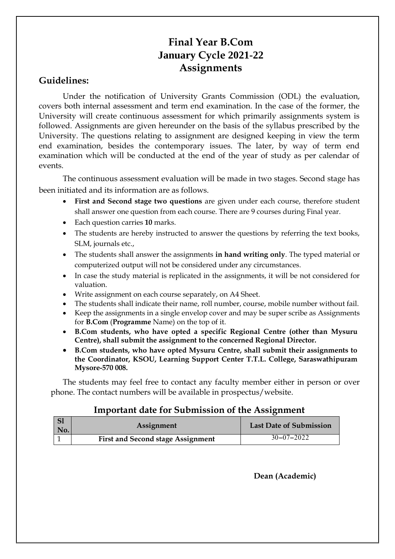### **Final Year B.Com January Cycle 2021-22 Assignments**

### **Guidelines:**

Under the notification of University Grants Commission (ODL) the evaluation, covers both internal assessment and term end examination. In the case of the former, the University will create continuous assessment for which primarily assignments system is followed. Assignments are given hereunder on the basis of the syllabus prescribed by the University. The questions relating to assignment are designed keeping in view the term end examination, besides the contemporary issues. The later, by way of term end examination which will be conducted at the end of the year of study as per calendar of events.

The continuous assessment evaluation will be made in two stages. Second stage has been initiated and its information are as follows.

- **First and Second stage two questions** are given under each course, therefore student shall answer one question from each course. There are 9 courses during Final year.
- Each question carries **10** marks.
- The students are hereby instructed to answer the questions by referring the text books, SLM, journals etc.,
- The students shall answer the assignments **in hand writing only**. The typed material or computerized output will not be considered under any circumstances.
- In case the study material is replicated in the assignments, it will be not considered for valuation.
- Write assignment on each course separately, on A4 Sheet.
- The students shall indicate their name, roll number, course, mobile number without fail.
- Keep the assignments in a single envelop cover and may be super scribe as Assignments for **B.Com** (**Programme** Name) on the top of it.
- **B.Com students, who have opted a specific Regional Centre (other than Mysuru Centre), shall submit the assignment to the concerned Regional Director.**
- **B.Com students, who have opted Mysuru Centre, shall submit their assignments to the Coordinator, KSOU, Learning Support Center T.T.L. College, Saraswathipuram Mysore-570 008.**

The students may feel free to contact any faculty member either in person or over phone. The contact numbers will be available in prospectus/website.

#### **Important date for Submission of the Assignment**

| No. | Assignment                               | <b>Last Date of Submission</b> |
|-----|------------------------------------------|--------------------------------|
|     | <b>First and Second stage Assignment</b> | $30 - 07 - 2022$               |

**Dean (Academic)**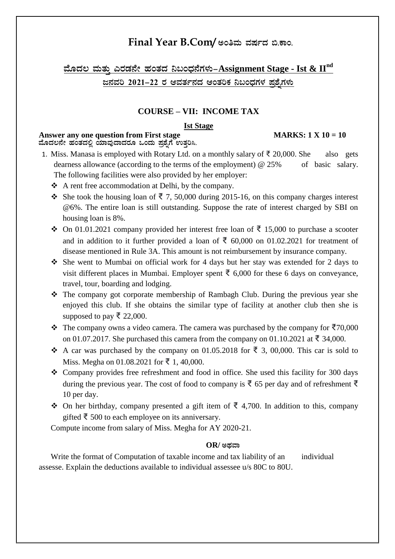### $Final$  Year B.Com/ ಅಂತಿಮ ವರ್ಷದ ಬಿ.ಕಾಂ.

<u>ಹೊದಲ ಮತ್ತು ಎರಡನೇ ಹಂತದ ನಿಬಂಧನೆಗಳು–Assignment Stage - Ist &  $\mathbf{H}^{\text{nd}}$ </u> **d£ÀªÀj 2021-22 gÀ DªÀvÀð£ÀzÀ DAvÀjPÀ ¤§AzsÀUÀ¼À ¥Àæ±ÉßUÀ¼ÀÄ** 

#### **COURSE – VII: INCOME TAX**

#### **Ist Stage**

#### Answer any one question from First stage MARKS: 1 X 10 = 10 ಮೊದಲನೇ ಹಂತದಲ್ಲಿ ಯಾವುದಾದರೂ ಒಂದು ಪ್ರಶ್ನೆಗೆ ಉತ್ತರಿಸಿ.

#### 1. Miss. Manasa is employed with Rotary Ltd. on a monthly salary of ₹ 20,000. She also gets dearness allowance (according to the terms of the employment) @ 25% of basic salary. The following facilities were also provided by her employer:

- A rent free accommodation at Delhi, by the company.
- She took the housing loan of  $\bar{\tau}$  7, 50,000 during 2015-16, on this company charges interest @6%. The entire loan is still outstanding. Suppose the rate of interest charged by SBI on housing loan is 8%.
- $\div$  On 01.01.2021 company provided her interest free loan of ₹ 15,000 to purchase a scooter and in addition to it further provided a loan of  $\bar{\xi}$  60,000 on 01.02.2021 for treatment of disease mentioned in Rule 3A. This amount is not reimbursement by insurance company.
- She went to Mumbai on official work for 4 days but her stay was extended for 2 days to visit different places in Mumbai. Employer spent ₹ 6,000 for these 6 days on conveyance, travel, tour, boarding and lodging.
- The company got corporate membership of Rambagh Club. During the previous year she enjoyed this club. If she obtains the similar type of facility at another club then she is supposed to pay ₹ 22,000.
- $\cdot$  The company owns a video camera. The camera was purchased by the company for  $\bar{\tau}$ 70,000 on 01.07.2017. She purchased this camera from the company on 01.10.2021 at ₹ 34,000.
- A car was purchased by the company on 01.05.2018 for  $\overline{\xi}$  3, 00,000. This car is sold to Miss. Megha on 01.08.2021 for ₹ 1, 40,000.
- Company provides free refreshment and food in office. She used this facility for 300 days during the previous year. The cost of food to company is  $\overline{\xi}$  65 per day and of refreshment  $\overline{\xi}$ 10 per day.
- $\triangle$  On her birthday, company presented a gift item of ₹ 4,700. In addition to this, company gifted  $\bar{ξ}$  500 to each employee on its anniversary.

Compute income from salary of Miss. Megha for AY 2020-21.

#### $OR$ / ಅಥವಾ

Write the format of Computation of taxable income and tax liability of an individual assesse. Explain the deductions available to individual assessee u/s 80C to 80U.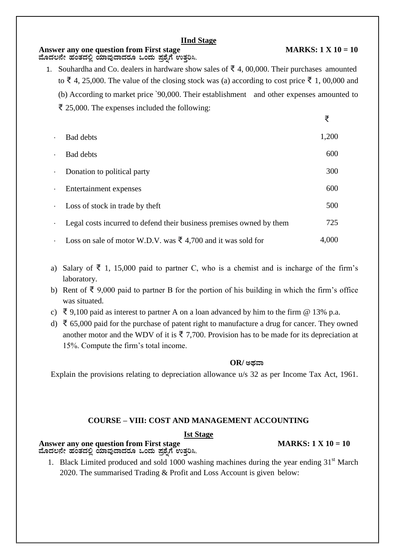#### **IInd Stage**

#### Answer any one question from First stage MARKS: 1 X 10 = 10 ಮೊದಲನೇ ಹಂತದಲ್ಲಿ ಯಾವುದಾದರೂ ಒಂದು ಪ್ರಶ್ನೆಗೆ ಉತ್ತರಿಸಿ.

1. Souhardha and Co. dealers in hardware show sales of  $\bar{\mathfrak{c}}$  4, 00,000. Their purchases amounted to ₹ 4, 25,000. The value of the closing stock was (a) according to cost price ₹ 1, 00,000 and (b) According to market price `90,000. Their establishment and other expenses amounted to ₹ 25,000. The expenses included the following:

| $\bullet$   | <b>Bad debts</b>                                                       | 1,200 |
|-------------|------------------------------------------------------------------------|-------|
| $\bullet$   | <b>Bad debts</b>                                                       | 600   |
| $\bullet$   | Donation to political party                                            | 300   |
| $\bullet$   | Entertainment expenses                                                 | 600   |
| $\bullet$ . | Loss of stock in trade by theft                                        | 500   |
| $\bullet$   | Legal costs incurred to defend their business premises owned by them   | 725   |
| $\bullet$ . | Loss on sale of motor W.D.V. was $\bar{\xi}$ 4,700 and it was sold for | 4,000 |

- a) Salary of  $\bar{\xi}$  1, 15,000 paid to partner C, who is a chemist and is incharge of the firm's laboratory.
- b) Rent of ₹ 9,000 paid to partner B for the portion of his building in which the firm's office was situated.
- c) ₹ 9,100 paid as interest to partner A on a loan advanced by him to the firm  $@13\%$  p.a.
- d) ₹ 65,000 paid for the purchase of patent right to manufacture a drug for cancer. They owned another motor and the WDV of it is  $\bar{\xi}$  7,700. Provision has to be made for its depreciation at 15%. Compute the firm's total income.

#### $OR$ / ಅಥವಾ

Explain the provisions relating to depreciation allowance u/s 32 as per Income Tax Act, 1961.

#### **COURSE – VIII: COST AND MANAGEMENT ACCOUNTING**

#### **Ist Stage**

#### Answer any one question from First stage MARKS:  $1 \text{ X } 10 = 10$ ಹೊದಲನೇ ಹಂತದಲ್ಲಿ ಯಾವುದಾದರೂ ಒಂದು ಪ್ರಶೈಗೆ ಉತ್ತರಿಸಿ.

1. Black Limited produced and sold 1000 washing machines during the year ending  $31<sup>st</sup>$  March 2020. The summarised Trading & Profit and Loss Account is given below:

₹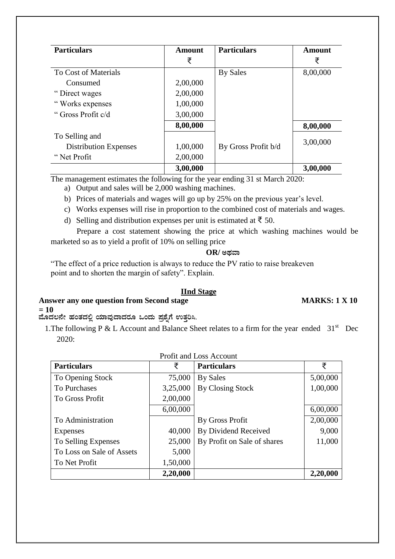| <b>Particulars</b>           | Amount   | <b>Particulars</b>  | Amount   |
|------------------------------|----------|---------------------|----------|
|                              | ₹        |                     | ₹        |
| To Cost of Materials         |          | By Sales            | 8,00,000 |
| Consumed                     | 2,00,000 |                     |          |
| "Direct wages                | 2,00,000 |                     |          |
| "Works expenses              | 1,00,000 |                     |          |
| "Gross Profit c/d            | 3,00,000 |                     |          |
|                              | 8,00,000 |                     | 8,00,000 |
| To Selling and               |          |                     |          |
| <b>Distribution Expenses</b> | 1,00,000 | By Gross Profit b/d | 3,00,000 |
| "Net Profit"                 | 2,00,000 |                     |          |
|                              | 3,00,000 |                     | 3,00,000 |

The management estimates the following for the year ending 31 st March 2020:

- a) Output and sales will be 2,000 washing machines.
- b) Prices of materials and wages will go up by 25% on the previous year's level.
- c) Works expenses will rise in proportion to the combined cost of materials and wages.
- d) Selling and distribution expenses per unit is estimated at  $\bar{f}$  50.

Prepare a cost statement showing the price at which washing machines would be marketed so as to yield a profit of 10% on selling price

#### $OR$ / ಅಥವಾ

 "The effect of a price reduction is always to reduce the PV ratio to raise breakeven point and to shorten the margin of safety". Explain.

#### **IInd Stage**

#### Answer any one question from Second stage MARKS: 1 X 10

**= 10**

ಮೊದಲನೇ ಹಂತದಲ್ಲಿ ಯಾವುದಾದರೂ ಒಂದು ಪ್ರಶೈಗೆ ಉತ್ತರಿಸಿ.

1. The following P & L Account and Balance Sheet relates to a firm for the year ended  $31<sup>st</sup>$  Dec 2020:

| <b>Particulars</b>        | ₹        | <b>Particulars</b>          | ₹        |
|---------------------------|----------|-----------------------------|----------|
| To Opening Stock          | 75,000   | By Sales                    | 5,00,000 |
| <b>To Purchases</b>       | 3,25,000 | By Closing Stock            | 1,00,000 |
| <b>To Gross Profit</b>    | 2,00,000 |                             |          |
|                           | 6,00,000 |                             | 6,00,000 |
| To Administration         |          | By Gross Profit             | 2,00,000 |
| <b>Expenses</b>           | 40,000   | By Dividend Received        | 9,000    |
| To Selling Expenses       | 25,000   | By Profit on Sale of shares | 11,000   |
| To Loss on Sale of Assets | 5,000    |                             |          |
| To Net Profit             | 1,50,000 |                             |          |
|                           | 2,20,000 |                             | 2,20,000 |

| <b>Profit and Loss Account</b> |  |  |
|--------------------------------|--|--|
|--------------------------------|--|--|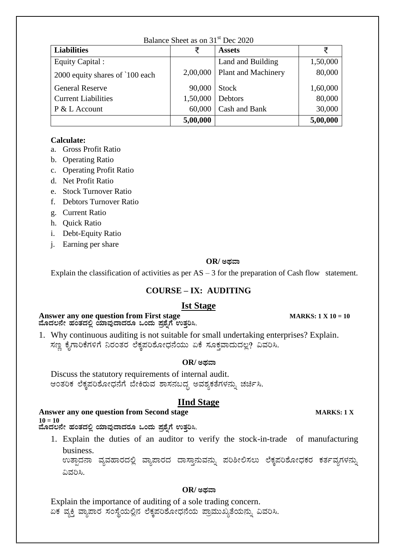| Balance Sheet as on 31 <sup>st</sup> Dec 2020 |          |                            |          |  |  |
|-----------------------------------------------|----------|----------------------------|----------|--|--|
| <b>Liabilities</b>                            | ₹        | <b>Assets</b>              | ₹        |  |  |
| Equity Capital :                              |          | Land and Building          | 1,50,000 |  |  |
| 2000 equity shares of '100 each               | 2,00,000 | <b>Plant and Machinery</b> | 80,000   |  |  |
| <b>General Reserve</b>                        | 90,000   | <b>Stock</b>               | 1,60,000 |  |  |
| <b>Current Liabilities</b>                    | 1,50,000 | Debtors                    | 80,000   |  |  |
| $P & L$ Account                               | 60,000   | Cash and Bank              | 30,000   |  |  |
| 5,00,000                                      |          |                            |          |  |  |

#### **Calculate:**

- a. Gross Profit Ratio
- b. Operating Ratio
- c. Operating Profit Ratio
- d. Net Profit Ratio
- e. Stock Turnover Ratio
- f. Debtors Turnover Ratio
- g. Current Ratio
- h. Quick Ratio
- i. Debt-Equity Ratio
- j. Earning per share

#### $OR$ / ಅಥವಾ

Explain the classification of activities as per  $AS - 3$  for the preparation of Cash flow statement.

#### **COURSE – IX: AUDITING**

#### **Ist Stage**

#### **Answer any one question from First stage MARKS: 1 X 10 = 10** ಮೊದಲನೇ ಹಂತದಲ್ಲಿ ಯಾವುದಾದರೂ ಒಂದು ಪ್ರಶೈಗೆ ಉತ್ತರಿಸಿ.

1. Why continuous auditing is not suitable for small undertaking enterprises? Explain. ಸಣ್ಣ ಕೈಗಾರಿಕೆಗಳಿಗೆ ನಿರಂತರ ಲೆಕ್ಕಪರಿಶೋಧನೆಯು ಏಕೆ ಸೂಕ್ತವಾದುದಲ್ಲ? ವಿವರಿಸಿ.

#### $OR$ / ಅಥವಾ

Discuss the statutory requirements of internal audit. ಆಂತರಿಕ ಲೆಕ್ಕಪರಿಶೋಧನೆಗೆ ಬೇಕಿರುವ ಶಾಸನಬದ್ಧ ಅವಶ್ಯಕತೆಗಳನ್ನು ಚರ್ಚಿಸಿ.

#### **IInd Stage**

#### **Answer any one question from Second stage MARKS: 1 X 10 = 10**

ಹೊದಲನೇ ಹಂತದಲ್ಲಿ ಯಾವುದಾದರೂ ಒಂದು ಪ್ರಶೈಗೆ ಉತ್ತರಿಸಿ.

1. Explain the duties of an auditor to verify the stock-in-trade of manufacturing business.

ಉತ್ಪಾದನಾ ವ್ಯವಹಾರದಲ್ಲಿ ವ್ಯಾಪಾರದ ದಾಸ್ತಾನುವನ್ನು ಪರಿಶೀಲಿಸಲು ಲೆಕ್ತಪರಿಶೋಧಕರ ಕರ್ತವ್ಯಗಳನ್ನು ವಿವರಿಸಿ.

#### $OR$ / ಅಥವಾ

Explain the importance of auditing of a sole trading concern. ಏಕ ವ್ಯಕ್ತಿ ವ್ಯಾಪಾರ ಸಂಸ್ಥೆಯಲ್ಲಿನ ಲೆಕ್ಕಪರಿಶೋಧನೆಯ ಪ್ರಾಮುಖ್ಯತೆಯನ್ನು ವಿವರಿಸಿ.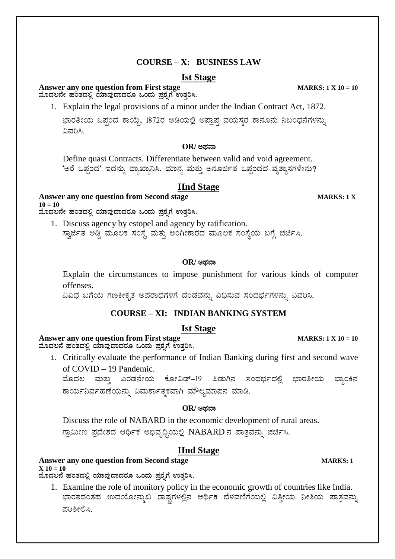### **COURSE – X: BUSINESS LAW**

#### **Ist Stage**

#### **Answer any one question from First stage MARKS: 1 X 10 = 10**  $\vec{a}$ ವೊದಲನೇ ಹಂತದಲ್ಲಿ ಯಾವುದಾದರೂ ಒಂದು ಪ್ರಶ್ನೆಗೆ ಉತ್ತರಿಸಿ.

1. Explain the legal provisions of a minor under the Indian Contract Act, 1872.

ಭಾರತೀಯ ಒಪ್ಪಂದ ಕಾಯ್ದೆ, 1872ರ ಅಡಿಯಲ್ಲಿ ಅಪ್ರಾಪ್ತ ವಯಸ್ಕರ ಕಾನೂನು ನಿಬಂಧನೆಗಳನ್ನು ವಿವರಿಸಿ.

#### $OR$ / ಅಥವಾ

Define quasi Contracts. Differentiate between valid and void agreement. 'ಅರೆ ಒಪ್ಪಂದ' ಇದನ್ನು ವ್ಯಾಖ್ಯಾನಿಸಿ. ಮಾನ್ಯ ಮತ್ತು ಅನೂರ್ಜಿತ ಒಪ್ಪಂದದ ವ್ಯತ್ಯಾಸಗಳೇನು?

#### **IInd Stage**

**Answer any one question from Second stage MARKS: 1 X 10 = 10**

ಹೊದಲನೇ ಹಂತದಲ್ಲಿ ಯಾವುದಾದರೂ ಒಂದು ಪ್ರಶೈಗೆ ಉತ್ತರಿಸಿ.

1. Discuss agency by estopel and agency by ratification. ಸ್ವಾರ್ಜಿತ ಅಡ್ಡಿ ಮೂಲಕ ಸಂಸ್ಥೆ ಮತ್ತು ಅಂಗೀಕಾರದ ಮೂಲಕ ಸಂಸ್ಥೆಯ ಬಗ್ಗೆ ಚರ್ಚಿಸಿ.

#### $OR$ / ಅಥವಾ

Explain the circumstances to impose punishment for various kinds of computer offenses.

ವಿವಿಧ ಬಗೆಯ ಗಣಕೀಕೃತ ಅಪರಾಧಗಳಿಗೆ ದಂಡವನ್ನು ವಿಧಿಸುವ ಸಂದರ್ಭಗಳನ್ನು ವಿವರಿಸಿ.

#### **COURSE – XI: INDIAN BANKING SYSTEM**

#### **Ist Stage**

**Answer any one question from First stage MARKS: 1 X 10 = 10** ಮೊದಲನೆ ಹಂತದಲ್ಲಿ ಯಾವುದಾದರೂ ಒಂದು ಪ್ರಶ್ನೆಗೆ ಉತ್ತರಿಸಿ.

1. Critically evaluate the performance of Indian Banking during first and second wave of COVID – 19 Pandemic.

ಹೊದಲ ಮತ್ತು ಎರಡನೇಯ ಕೋವಿಡ್–19 ಪಿಡುಗಿನ ಸಂಧರ್ಭದಲ್ಲಿ ಭಾರತೀಯ ಬ್ಯಾಂಕಿನ ಕಾರ್ಯನಿರ್ವಹಣೆಯನ್ನು ವಿಮರ್ಶಾತ್ಮಕವಾಗಿ ಮೌಲ್ಯಮಾಪನ ಮಾಡಿ.

#### $OR$ / ಅಥವಾ

Discuss the role of NABARD in the economic development of rural areas. ಗ್ರಾಮೀಣ ಪ್ರದೇಶದ ಆರ್ಥಿಕ ಅಭಿವೃದ್ಧಿಯಲ್ಲಿ NABARDನ ಪಾತ್ರವನ್ನು ಚರ್ಚಿಸಿ.

#### **IInd Stage**

#### **Answer any one question from Second stage MARKS: 1**

 $X$  10 = 10 ಮೊದಲನೆ ಹಂತದಲ್ಲಿ ಯಾವುದಾದರೂ ಒಂದು ಪ್ರಶ್ನೆಗೆ ಉತ್ತರಿಸಿ.

1. Examine the role of monitory policy in the economic growth of countries like India. ಭಾರತದಂತಹ ಉದಯೋನ್ನುಖ ರಾಷ್ಷಗಳಲ್ಲಿನ ಆರ್ಥಿಕ ಬೆಳವಣಿಗೆಯಲ್ಲಿ ವಿತ್ತೀಯ ನೀತಿಯ ಪಾತ್ರವನ್ನು ಪರಿಶೀಲಿಸಿ.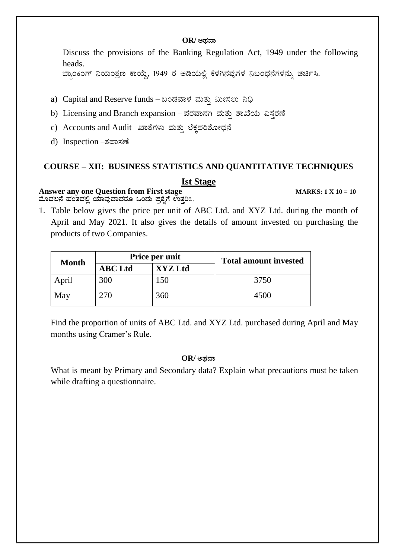#### $OR$ / ಅಥವಾ

Discuss the provisions of the Banking Regulation Act, 1949 under the following heads.

ಬ್ಯಾಂಕಿಂಗ್ ನಿಯಂತ್ರಣ ಕಾಯ್ದೆ, 1949 ರ ಅಡಿಯಲ್ಲಿ ಕೆಳಗಿನವುಗಳ ನಿಬಂಧನೆಗಳನ್ನು ಚರ್ಚಿಸಿ.

- a) Capital and Reserve funds ಬಂಡವಾಳ ಮತ್ತು ಮೀಸಲು ನಿಧಿ
- b) Licensing and Branch expansion ಪರವಾನಗಿ ಮತ್ತು ಶಾಖೆಯ ವಿಸ್ತರಣೆ
- c) Accounts and Audit –ಖಾತೆಗಳು ಮತ್ತು ಲೆಕ್ಕಪರಿಶೋಧನೆ
- d) Inspection –ತಪಾಸಣೆ

# **COURSE – XII: BUSINESS STATISTICS AND QUANTITATIVE TECHNIQUES**

#### **Ist Stage**

#### **Answer any one Question from First stage MARKS: 1 X 10 = 10** ಮೊದಲನೆ ಹಂತದಲ್ಲಿ ಯಾವುದಾದರೂ ಒಂದು ಪ್ರಶೈಗೆ **ಉತ್ತರಿಸಿ**.

1. Table below gives the price per unit of ABC Ltd. and XYZ Ltd. during the month of April and May 2021. It also gives the details of amount invested on purchasing the products of two Companies.

| <b>Month</b> |                | Price per unit | <b>Total amount invested</b> |  |
|--------------|----------------|----------------|------------------------------|--|
|              | <b>ABC</b> Ltd | <b>XYZ Ltd</b> |                              |  |
| April        | 300            | 150            | 3750                         |  |
| May          | 270            | 360            | 4500                         |  |

Find the proportion of units of ABC Ltd. and XYZ Ltd. purchased during April and May months using Cramer's Rule.

#### $OR$ / ಅಡವಾ

What is meant by Primary and Secondary data? Explain what precautions must be taken while drafting a questionnaire.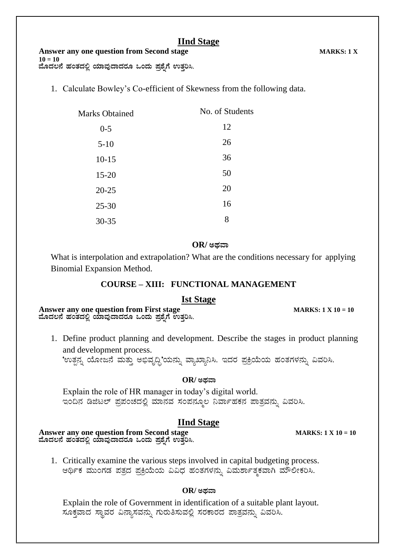### **IInd Stage**

1. Calculate Bowley's Co-efficient of Skewness from the following data.

| <b>Marks Obtained</b> | No. of Students |
|-----------------------|-----------------|
| $0 - 5$               | 12              |
| $5-10$                | 26              |
| $10 - 15$             | 36              |
| $15 - 20$             | 50              |
| $20 - 25$             | 20              |
| $25 - 30$             | 16              |
| 30-35                 | 8               |

#### $OR$ / ಅಥವಾ

What is interpolation and extrapolation? What are the conditions necessary for applying Binomial Expansion Method.

#### **COURSE – XIII: FUNCTIONAL MANAGEMENT**

#### **Ist Stage**

**Answer any one question from First stage MARKS: 1 X 10 = 10** ಮೊದಲನೆ ಹಂತದಲ್ಲಿ ಯಾವುದಾದರೂ ಒಂದು ಪ್ರಶೈಗೆ ಉತ್ತರಿಸಿ.

1. Define product planning and development. Describe the stages in product planning and development process.

'ಉತ್ಪನ್ನ ಯೋಜನೆ ಮತ್ತು ಅಭಿವೃದ್ಧಿ'ಯನ್ನು ವ್ಯಾಖ್ಯಾನಿಸಿ. ಇದರ ಪ್ರಕ್ರಿಯೆಯ ಹಂತಗಳನ್ನು ವಿವರಿಸಿ.

#### $OR$ / ಅಥವಾ

Explain the role of HR manager in today's digital world. ಇಂದಿನ ಡಿಜಿಟಲ್ ಪ್ರಪಂಚದಲ್ಲಿ ಮಾನವ ಸಂಪನ್ಮೂಲ ನಿರ್ವಾಹಕನ ಪಾತ್ರವನ್ನು ವಿವರಿಸಿ.

#### **IInd Stage**

**Answer any one question from Second stage MARKS: 1 X 10 = 10** ಮೊದಲನೆ ಹಂತದಲ್ಲಿ ಯಾವುದಾದರೂ ಒಂದು ಪ್ರಶ್ನೆಗೆ ಉತ್ತರಿಸಿ.

1. Critically examine the various steps involved in capital budgeting process. ಆರ್ಥಿಕ ಮುಂಗಡ ಪತ್ರದ ಪ್ರಕ್ರಿಯೆಯ ವಿವಿಧ ಹಂತಗಳನ್ನು ವಿಮರ್ಶಾತ್ಮಕವಾಗಿ ಮೌಲೀಕರಿಸಿ.

#### $OR$ / ಅಥವಾ

Explain the role of Government in identification of a suitable plant layout. ಸೂಕ್ತವಾದ ಸ್ಥಾವರ ವಿನ್ಯಾಸವನ್ನು ಗುರುತಿಸುವಲ್ಲಿ ಸರಕಾರದ ಪಾತ್ರವನ್ನು ವಿವರಿಸಿ.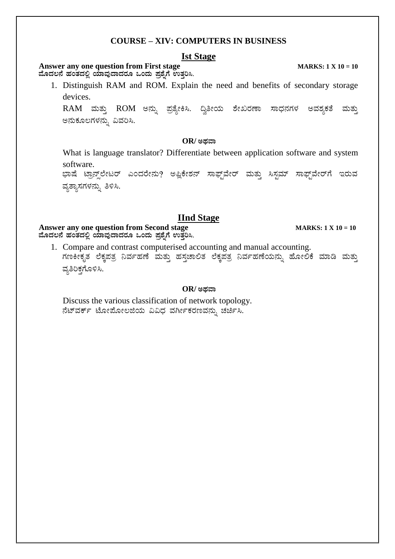#### **COURSE - XIV: COMPUTERS IN BUSINESS**

#### **Ist Stage**

#### **Answer any one question from First stage** ಮೊದಲನೆ ಹಂತದಲ್ಲಿ ಯಾವುದಾದರೂ ಒಂದು ಪ್ರಶೈಗೆ ಉತ್ತರಿಸಿ.

1. Distinguish RAM and ROM. Explain the need and benefits of secondary storage devices.

RAM ಮತ್ತು ROM ಅನ್ನು ಪ್ರತ್ಯೇಕಿಸಿ. ದ್ರಿತೀಯ ಶೇಖರಣಾ ಸಾಧನಗಳ ಅವಶ್ಯಕತೆ ಮತ್ತು ಅನುಕೂಲಗಳನ್ನು ವಿವರಿಸಿ.

#### $OR$ / ಅಥವಾ

What is language translator? Differentiate between application software and system software.

ಭಾಷೆ ಟ್ರಾನ್ಸ್ ಲೇಟರ್ ಎಂದರೇನು? ಅಪ್ಲಿಕೇಶನ್ ಸಾಫ್ಟ್ ವೇರ್ ಮತ್ತು ಸಿಸ್ಟಮ್ ಸಾಫ್ಟ್ ವೇರ್ಗೆ ಇರುವ ವ್ಯತ್ಯಾಸಗಳನ್ನು ತಿಳಿಸಿ.

#### **IInd Stage**

#### Answer any one question from Second stage ಮೊದಲನೆ ಹಂತದಲ್ಲಿ ಯಾವುದಾದರೂ ಒಂದು ಪ್ರಶ್ನೆಗೆ ಉತ್ತರಿಸಿ.

1. Compare and contrast computerised accounting and manual accounting. ಗಣಕೀಕೃತ ಲೆಕ್ಕಪತ್ರ ನಿರ್ವಹಣೆ ಮತ್ತು ಹಸ್ತಚಾಲಿತ ಲೆಕ್ಕಪತ್ರ ನಿರ್ವಹಣೆಯನ್ನು ಹೋಲಿಕೆ ಮಾಡಿ ಮತ್ತು ವ್ಯತಿರಿಕಗೊಳಿಸಿ.

#### OR/ ಅಥವಾ

Discuss the various classification of network topology. ನೆಟ್ವರ್ಕ್ ಟೋಪೋಲಜಿಯ ವಿವಿಧ ವರ್ಗೀಕರಣವನ್ನು ಚರ್ಚಿಸಿ.

**MARKS:**  $1 X 10 = 10$ 

**MARKS:**  $1 X 10 = 10$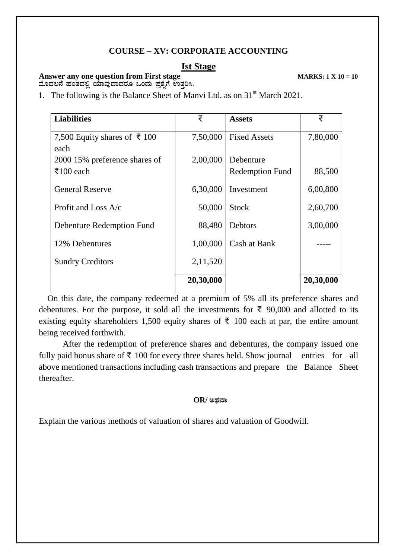#### **COURSE – XV: CORPORATE ACCOUNTING**

#### **Ist Stage**

### **Answer any one question from First stage MARKS: 1 X 10 = 10**

ಹೊದಲನೆ ಹಂತದಲ್ಲಿ ಯಾವುದಾದರೂ ಒಂದು ಪ್ರಶೈಗೆ ಉತ್ತರಿಸಿ.

1. The following is the Balance Sheet of Manvi Ltd. as on  $31<sup>st</sup>$  March 2021.

| <b>Liabilities</b>            | ₹         | <b>Assets</b>          | ₹         |
|-------------------------------|-----------|------------------------|-----------|
| 7,500 Equity shares of ₹ 100  | 7,50,000  | <b>Fixed Assets</b>    | 7,80,000  |
| each                          |           |                        |           |
| 2000 15% preference shares of | 2,00,000  | Debenture              |           |
| $\bar{5}100$ each             |           | <b>Redemption Fund</b> | 88,500    |
| <b>General Reserve</b>        | 6,30,000  | Investment             | 6,00,800  |
| Profit and Loss $A/c$         | 50,000    | <b>Stock</b>           | 2,60,700  |
| Debenture Redemption Fund     | 88,480    | <b>Debtors</b>         | 3,00,000  |
| 12% Debentures                | 1,00,000  | Cash at Bank           |           |
| <b>Sundry Creditors</b>       | 2,11,520  |                        |           |
|                               | 20,30,000 |                        | 20,30,000 |

 On this date, the company redeemed at a premium of 5% all its preference shares and debentures. For the purpose, it sold all the investments for ₹ 90,000 and allotted to its existing equity shareholders 1,500 equity shares of  $\bar{\tau}$  100 each at par, the entire amount being received forthwith.

After the redemption of preference shares and debentures, the company issued one fully paid bonus share of  $\bar{\tau}$  100 for every three shares held. Show journal entries for all above mentioned transactions including cash transactions and prepare the Balance Sheet thereafter.

#### $OR$ / ಅಥವಾ

Explain the various methods of valuation of shares and valuation of Goodwill.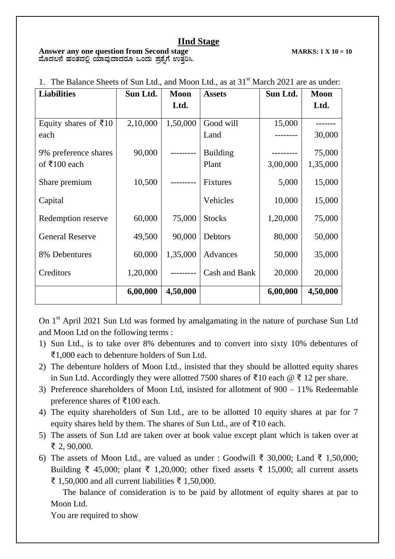#### **IInd Stage**

#### **Answer any one question from Second stage MARKS: 1 X 10 = 10** ಮೊದಲನೆ ಹಂತದಲ್ಲಿ ಯಾವುದಾದರೂ ಒಂದು ಪ್ರಶ್ನೆಗೆ ಉತ್ತರಿಸಿ.

| <b>Liabilities</b>     | Sun Ltd. | <b>Moon</b> | <b>Assets</b>   | Sun Ltd. | <b>Moon</b> |
|------------------------|----------|-------------|-----------------|----------|-------------|
|                        |          | Ltd.        |                 |          | Ltd.        |
| Equity shares of ₹10   | 2,10,000 | 1,50,000    | Good will       | 15,000   |             |
| each                   |          |             | Land            |          | 30,000      |
| 9% preference shares   | 90,000   |             | <b>Building</b> |          | 75,000      |
| of $\bar{x}$ 100 each  |          |             | Plant           | 3,00,000 | 1,35,000    |
| Share premium          | 10,500   |             | <b>Fixtures</b> | 5,000    | 15,000      |
| Capital                |          |             | Vehicles        | 10,000   | 15,000      |
| Redemption reserve     | 60,000   | 75,000      | <b>Stocks</b>   | 1,20,000 | 75,000      |
| <b>General Reserve</b> | 49,500   | 90,000      | Debtors         | 80,000   | 50,000      |
| 8% Debentures          | 60,000   | 1,35,000    | Advances        | 50,000   | 35,000      |
| Creditors              | 1,20,000 | ---------   | Cash and Bank   | 20,000   | 20,000      |
|                        | 6,00,000 | 4,50,000    |                 | 6,00,000 | 4,50,000    |

1. The Balance Sheets of Sun Ltd., and Moon Ltd., as at 31<sup>st</sup> March 2021 are as under:

On 1<sup>st</sup> April 2021 Sun Ltd was formed by amalgamating in the nature of purchase Sun Ltd and Moon Ltd on the following terms :

- 1) Sun Ltd., is to take over 8% debentures and to convert into sixty 10% debentures of ₹1,000 each to debenture holders of Sun Ltd.
- 2) The debenture holders of Moon Ltd., insisted that they should be allotted equity shares in Sun Ltd. Accordingly they were allotted 7500 shares of ₹10 each  $\mathcal{Q}$  ₹ 12 per share.
- 3) Preference shareholders of Moon Ltd, insisted for allotment of 900 11% Redeemable preference shares of ₹100 each.
- 4) The equity shareholders of Sun Ltd., are to be allotted 10 equity shares at par for 7 equity shares held by them. The shares of Sun Ltd., are of ₹10 each.
- 5) The assets of Sun Ltd are taken over at book value except plant which is taken over at ₹ 2, 90,000.
- 6) The assets of Moon Ltd., are valued as under : Goodwill ₹ 30,000; Land ₹ 1,50,000; Building ₹ 45,000; plant ₹ 1,20,000; other fixed assets ₹ 15,000; all current assets ₹ 1,50,000 and all current liabilities ₹ 1,50,000.

The balance of consideration is to be paid by allotment of equity shares at par to Moon Ltd.

You are required to show